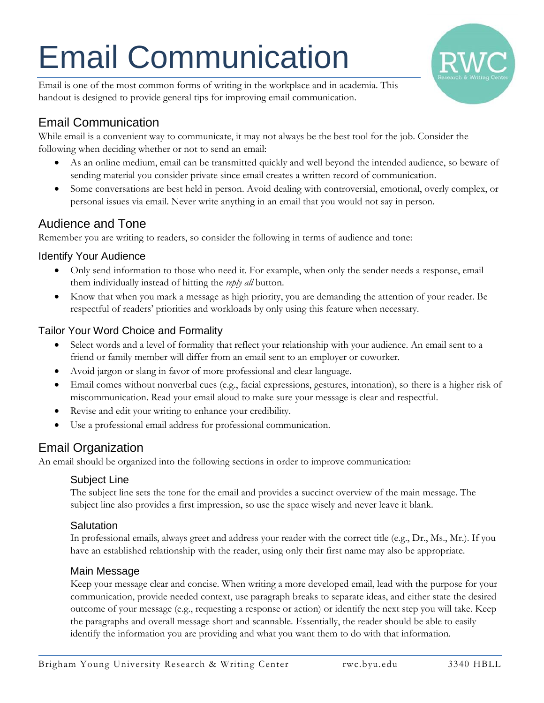# Email Communication

Email is one of the most common forms of writing in the workplace and in academia. This handout is designed to provide general tips for improving email communication.

# Email Communication

While email is a convenient way to communicate, it may not always be the best tool for the job. Consider the following when deciding whether or not to send an email:

- As an online medium, email can be transmitted quickly and well beyond the intended audience, so beware of sending material you consider private since email creates a written record of communication.
- Some conversations are best held in person. Avoid dealing with controversial, emotional, overly complex, or personal issues via email. Never write anything in an email that you would not say in person.

# Audience and Tone

Remember you are writing to readers, so consider the following in terms of audience and tone:

## Identify Your Audience

- Only send information to those who need it. For example, when only the sender needs a response, email them individually instead of hitting the *reply all* button.
- Know that when you mark a message as high priority, you are demanding the attention of your reader. Be respectful of readers' priorities and workloads by only using this feature when necessary.

## Tailor Your Word Choice and Formality

- Select words and a level of formality that reflect your relationship with your audience. An email sent to a friend or family member will differ from an email sent to an employer or coworker.
- Avoid jargon or slang in favor of more professional and clear language.
- Email comes without nonverbal cues (e.g., facial expressions, gestures, intonation), so there is a higher risk of miscommunication. Read your email aloud to make sure your message is clear and respectful.
- Revise and edit your writing to enhance your credibility.
- Use a professional email address for professional communication.

# Email Organization

An email should be organized into the following sections in order to improve communication:

#### Subject Line

The subject line sets the tone for the email and provides a succinct overview of the main message. The subject line also provides a first impression, so use the space wisely and never leave it blank.

## **Salutation**

In professional emails, always greet and address your reader with the correct title (e.g., Dr., Ms., Mr.). If you have an established relationship with the reader, using only their first name may also be appropriate.

#### Main Message

Keep your message clear and concise. When writing a more developed email, lead with the purpose for your communication, provide needed context, use paragraph breaks to separate ideas, and either state the desired outcome of your message (e.g., requesting a response or action) or identify the next step you will take. Keep the paragraphs and overall message short and scannable. Essentially, the reader should be able to easily identify the information you are providing and what you want them to do with that information.